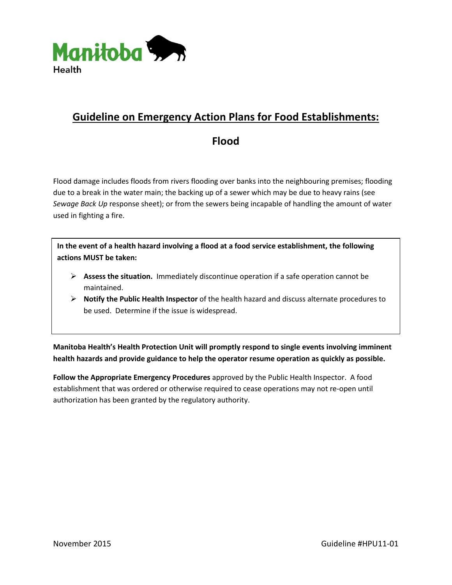

# **Guideline on Emergency Action Plans for Food Establishments:**

## **Flood**

Flood damage includes floods from rivers flooding over banks into the neighbouring premises; flooding due to a break in the water main; the backing up of a sewer which may be due to heavy rains (see *Sewage Back Up* response sheet); or from the sewers being incapable of handling the amount of water used in fighting a fire.

**In the event of a health hazard involving a flood at a food service establishment, the following actions MUST be taken:**

- **Assess the situation.** Immediately discontinue operation if a safe operation cannot be maintained.
- **Notify the Public Health Inspector** of the health hazard and discuss alternate procedures to be used. Determine if the issue is widespread.

**Manitoba Health's Health Protection Unit will promptly respond to single events involving imminent health hazards and provide guidance to help the operator resume operation as quickly as possible.** 

**Follow the Appropriate Emergency Procedures** approved by the Public Health Inspector. A food establishment that was ordered or otherwise required to cease operations may not re-open until authorization has been granted by the regulatory authority.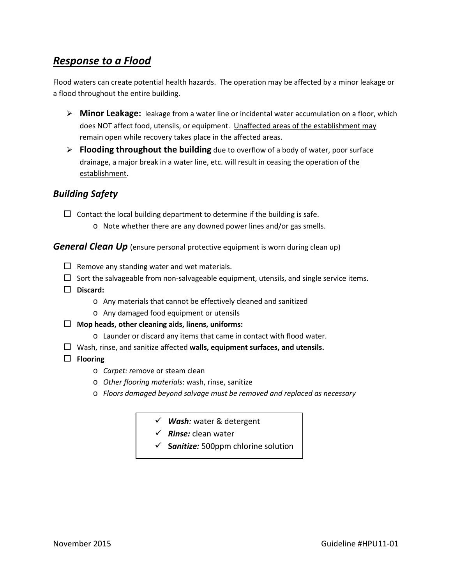## *Response to a Flood*

Flood waters can create potential health hazards. The operation may be affected by a minor leakage or a flood throughout the entire building.

- **Minor Leakage:** leakage from a water line or incidental water accumulation on a floor, which does NOT affect food, utensils, or equipment. Unaffected areas of the establishment may remain open while recovery takes place in the affected areas.
- **Flooding throughout the building** due to overflow of a body of water, poor surface drainage, a major break in a water line, etc. will result in ceasing the operation of the establishment.

### *Building Safety*

 $\Box$  Contact the local building department to determine if the building is safe.

o Note whether there are any downed power lines and/or gas smells.

*General Clean Up* (ensure personal protective equipment is worn during clean up)

- $\Box$  Remove any standing water and wet materials.
- $\square$  Sort the salvageable from non-salvageable equipment, utensils, and single service items.
- **Discard:** 
	- o Any materials that cannot be effectively cleaned and sanitized
	- o Any damaged food equipment or utensils
- **Mop heads, other cleaning aids, linens, uniforms:** 
	- o Launder or discard any items that came in contact with flood water.
- Wash, rinse, and sanitize affected **walls, equipment surfaces, and utensils.**
- **Flooring**
	- o *Carpet: r*emove or steam clean
	- o *Other flooring materials*: wash, rinse, sanitize
	- o *Floors damaged beyond salvage must be removed and replaced as necessary*
		- *Wash:* water & detergent
		- *Rinse:* clean water
		- $\checkmark$  **Sanitize:** 500ppm chlorine solution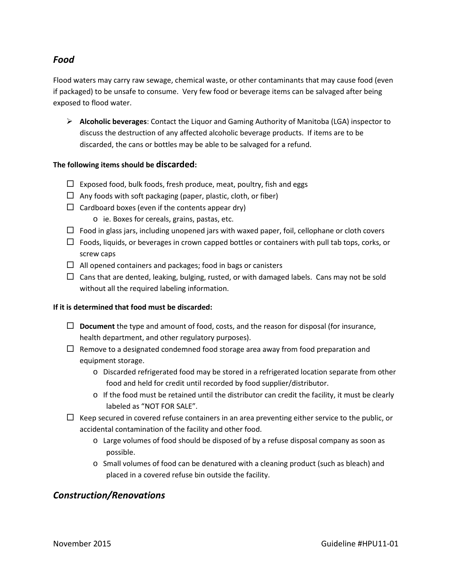### *Food*

Flood waters may carry raw sewage, chemical waste, or other contaminants that may cause food (even if packaged) to be unsafe to consume. Very few food or beverage items can be salvaged after being exposed to flood water.

 **Alcoholic beverages**: Contact the Liquor and Gaming Authority of Manitoba (LGA) inspector to discuss the destruction of any affected alcoholic beverage products. If items are to be discarded, the cans or bottles may be able to be salvaged for a refund.

#### **The following items should be discarded:**

- $\Box$  Exposed food, bulk foods, fresh produce, meat, poultry, fish and eggs
- $\Box$  Any foods with soft packaging (paper, plastic, cloth, or fiber)
- $\Box$  Cardboard boxes (even if the contents appear dry)
	- o ie. Boxes for cereals, grains, pastas, etc.
- $\Box$  Food in glass jars, including unopened jars with waxed paper, foil, cellophane or cloth covers
- $\Box$  Foods, liquids, or beverages in crown capped bottles or containers with pull tab tops, corks, or screw caps
- $\Box$  All opened containers and packages; food in bags or canisters
- $\Box$  Cans that are dented, leaking, bulging, rusted, or with damaged labels. Cans may not be sold without all the required labeling information.

#### **If it is determined that food must be discarded:**

- **Document** the type and amount of food, costs, and the reason for disposal (for insurance, health department, and other regulatory purposes).
- $\Box$  Remove to a designated condemned food storage area away from food preparation and equipment storage.
	- o Discarded refrigerated food may be stored in a refrigerated location separate from other food and held for credit until recorded by food supplier/distributor.
	- $\circ$  If the food must be retained until the distributor can credit the facility, it must be clearly labeled as "NOT FOR SALE".
- $\Box$  Keep secured in covered refuse containers in an area preventing either service to the public, or accidental contamination of the facility and other food.
	- o Large volumes of food should be disposed of by a refuse disposal company as soon as possible.
	- o Small volumes of food can be denatured with a cleaning product (such as bleach) and placed in a covered refuse bin outside the facility.

#### *Construction/Renovations*